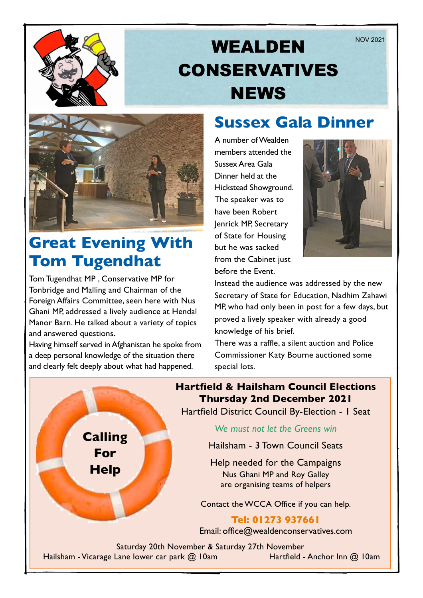

# WEALDEN NOV 2021 CONSERVATIVES **NEWS**



### **Great Evening With Tom Tugendhat**

Tom Tugendhat MP , Conservative MP for Tonbridge and Malling and Chairman of the Foreign Affairs Committee, seen here with Nus Ghani MP, addressed a lively audience at Hendal Manor Barn. He talked about a variety of topics and answered questions.

Having himself served in Afghanistan he spoke from a deep personal knowledge of the situation there and clearly felt deeply about what had happened.

**Calling**

**For** 

**Help**

### **Sussex Gala Dinner**

A number of Wealden members attended the Sussex Area Gala Dinner held at the Hickstead Showground. The speaker was to have been Robert Jenrick MP, Secretary of State for Housing but he was sacked from the Cabinet just before the Event.



Instead the audience was addressed by the new Secretary of State for Education, Nadhim Zahawi MP, who had only been in post for a few days, but proved a lively speaker with already a good knowledge of his brief.

There was a raffle, a silent auction and Police Commissioner Katy Bourne auctioned some special lots.

**Hartfield & Hailsham Council Elections Thursday 2nd December 2021**

Hartfield District Council By-Election - 1 Seat

*We must not let the Greens win*

Hailsham - 3 Town Council Seats

Help needed for the Campaigns Nus Ghani MP and Roy Galley are organising teams of helpers

Contact the WCCA Office if you can help.

### **Tel: 01273 937661**

Email: office@wealdenconservatives.com

Saturday 20th November & Saturday 27th November Hailsham - Vicarage Lane lower car park @ 10am Hartfield - Anchor Inn @ 10am